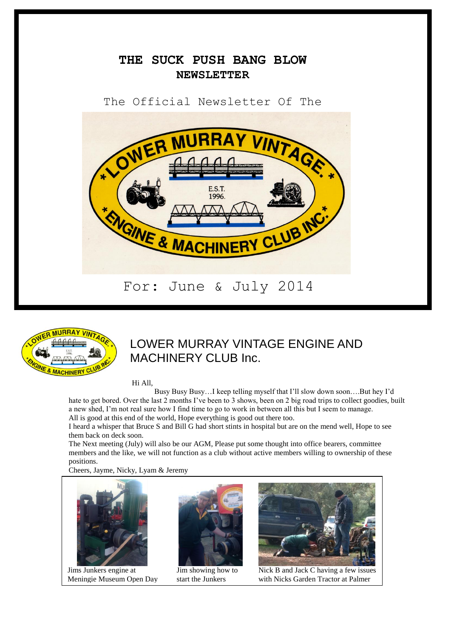# **THE SUCK PUSH BANG BLOW NEWSLETTER**

The Official Newsletter Of The





# LOWER MURRAY VINTAGE ENGINE AND MACHINERY CLUB Inc.

Hi All,

 Busy Busy Busy…I keep telling myself that I'll slow down soon….But hey I'd hate to get bored. Over the last 2 months I've been to 3 shows, been on 2 big road trips to collect goodies, built a new shed, I'm not real sure how I find time to go to work in between all this but I seem to manage. All is good at this end of the world, Hope everything is good out there too.

I heard a whisper that Bruce S and Bill G had short stints in hospital but are on the mend well, Hope to see them back on deck soon.

The Next meeting (July) will also be our AGM, Please put some thought into office bearers, committee members and the like, we will not function as a club without active members willing to ownership of these positions.

Cheers, Jayme, Nicky, Lyam & Jeremy



Jims Junkers engine at





 $\overline{\text{Jim} \text{ showing how to}}$  Nick B and Jack C having a few issues Meningie Museum Open Day start the Junkers with Nicks Garden Tractor at Palmer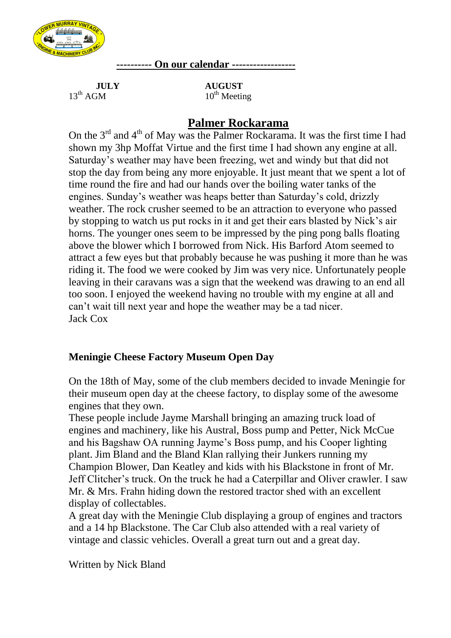

**---------- On our calendar ------------------**

**JULY AUGUST**<br>13<sup>th</sup> AGM **10<sup>th</sup> Meeti** 

 $10^{th}$  Meeting

# **Palmer Rockarama**

On the  $3<sup>rd</sup>$  and  $4<sup>th</sup>$  of May was the Palmer Rockarama. It was the first time I had shown my 3hp Moffat Virtue and the first time I had shown any engine at all. Saturday's weather may have been freezing, wet and windy but that did not stop the day from being any more enjoyable. It just meant that we spent a lot of time round the fire and had our hands over the boiling water tanks of the engines. Sunday's weather was heaps better than Saturday's cold, drizzly weather. The rock crusher seemed to be an attraction to everyone who passed by stopping to watch us put rocks in it and get their ears blasted by Nick's air horns. The younger ones seem to be impressed by the ping pong balls floating above the blower which I borrowed from Nick. His Barford Atom seemed to attract a few eyes but that probably because he was pushing it more than he was riding it. The food we were cooked by Jim was very nice. Unfortunately people leaving in their caravans was a sign that the weekend was drawing to an end all too soon. I enjoyed the weekend having no trouble with my engine at all and can't wait till next year and hope the weather may be a tad nicer. Jack Cox

# **Meningie Cheese Factory Museum Open Day**

On the 18th of May, some of the club members decided to invade Meningie for their museum open day at the cheese factory, to display some of the awesome engines that they own.

These people include Jayme Marshall bringing an amazing truck load of engines and machinery, like his Austral, Boss pump and Petter, Nick McCue and his Bagshaw OA running Jayme's Boss pump, and his Cooper lighting plant. Jim Bland and the Bland Klan rallying their Junkers running my Champion Blower, Dan Keatley and kids with his Blackstone in front of Mr. Jeff Clitcher's truck. On the truck he had a Caterpillar and Oliver crawler. I saw Mr. & Mrs. Frahn hiding down the restored tractor shed with an excellent display of collectables.

A great day with the Meningie Club displaying a group of engines and tractors and a 14 hp Blackstone. The Car Club also attended with a real variety of vintage and classic vehicles. Overall a great turn out and a great day.

Written by Nick Bland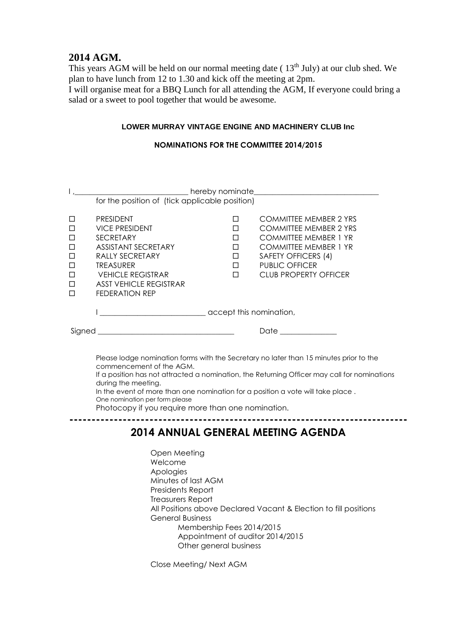### **2014 AGM.**

This years AGM will be held on our normal meeting date ( $13<sup>th</sup>$  July) at our club shed. We plan to have lunch from 12 to 1.30 and kick off the meeting at 2pm. I will organise meat for a BBQ Lunch for all attending the AGM, If everyone could bring a salad or a sweet to pool together that would be awesome.

#### **LOWER MURRAY VINTAGE ENGINE AND MACHINERY CLUB Inc**

#### **NOMINATIONS FOR THE COMMITTEE 2014/2015**

|                                                                                                                                                                                                                                                                                                                                                                                                                      | for the position of (tick applicable position)                                                                                                                                                                           |                                                     |                                                                                                                                                                                                                |  |
|----------------------------------------------------------------------------------------------------------------------------------------------------------------------------------------------------------------------------------------------------------------------------------------------------------------------------------------------------------------------------------------------------------------------|--------------------------------------------------------------------------------------------------------------------------------------------------------------------------------------------------------------------------|-----------------------------------------------------|----------------------------------------------------------------------------------------------------------------------------------------------------------------------------------------------------------------|--|
| □<br>□<br>$\Box$<br>$\Box$<br>$\Box$<br>$\Box$<br>$\Box$<br>$\Box$<br>П                                                                                                                                                                                                                                                                                                                                              | <b>PRESIDENT</b><br><b>VICE PRESIDENT</b><br><b>SECRETARY</b><br><b>ASSISTANT SECRETARY</b><br>RALLY SECRETARY<br><b>TREASURER</b><br><b>VEHICLE REGISTRAR</b><br><b>ASST VEHICLE REGISTRAR</b><br><b>FEDERATION REP</b> | П<br>п<br>П<br>$\Box$<br>$\Box$<br>$\Box$<br>$\Box$ | <b>COMMITTEE MEMBER 2 YRS</b><br><b>COMMITTEE MEMBER 2 YRS</b><br><b>COMMITTEE MEMBER 1 YR</b><br><b>COMMITTEE MEMBER 1 YR</b><br>SAFETY OFFICERS (4)<br><b>PUBLIC OFFICER</b><br><b>CLUB PROPERTY OFFICER</b> |  |
|                                                                                                                                                                                                                                                                                                                                                                                                                      |                                                                                                                                                                                                                          |                                                     |                                                                                                                                                                                                                |  |
|                                                                                                                                                                                                                                                                                                                                                                                                                      |                                                                                                                                                                                                                          |                                                     | Date ______________                                                                                                                                                                                            |  |
| Please lodge nomination forms with the Secretary no later than 15 minutes prior to the<br>commencement of the AGM.<br>If a position has not attracted a nomination, the Returning Officer may call for nominations<br>during the meeting.<br>In the event of more than one nomination for a position a vote will take place.<br>One nomination per form please<br>Photocopy if you require more than one nomination. |                                                                                                                                                                                                                          |                                                     |                                                                                                                                                                                                                |  |
| 2014 ANNIIAI GFNFRAI MFFTING AGFNDA                                                                                                                                                                                                                                                                                                                                                                                  |                                                                                                                                                                                                                          |                                                     |                                                                                                                                                                                                                |  |

### **2014 ANNUAL GENERAL MEETING AGENDA**

Open Meeting Welcome Apologies Minutes of last AGM Presidents Report Treasurers Report All Positions above Declared Vacant & Election to fill positions General Business Membership Fees 2014/2015 Appointment of auditor 2014/2015 Other general business

Close Meeting/ Next AGM